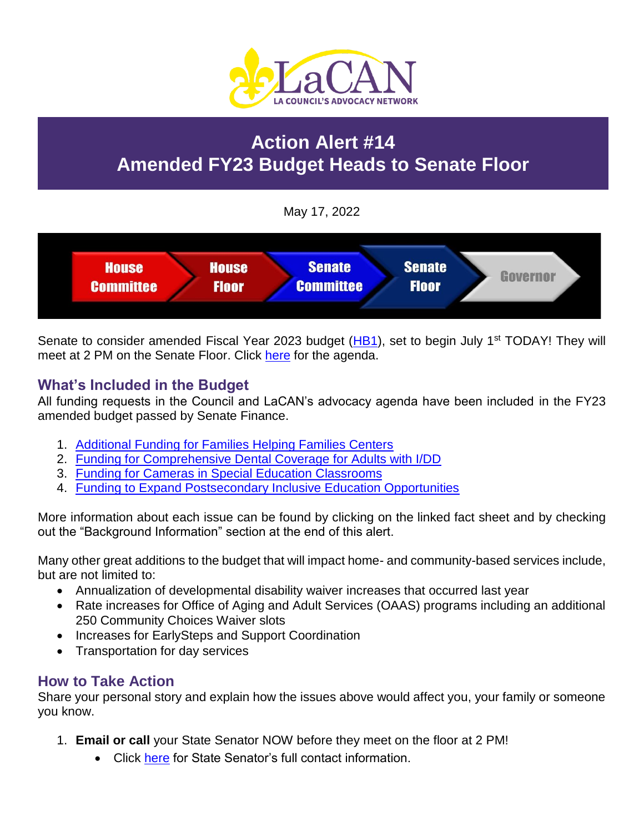

# **Action Alert #14 Amended FY23 Budget Heads to Senate Floor**

May 17, 2022



Senate to consider amended Fiscal Year 2023 budget [\(HB1\)](https://www.legis.la.gov/legis/BillInfo.aspx?i=241980), set to begin July 1<sup>st</sup> TODAY! They will meet at 2 PM on the Senate Floor. Click [here](https://www.legis.la.gov/legis/Agenda.aspx?c=S&g=BODY) for the agenda.

### **What's Included in the Budget**

All funding requests in the Council and LaCAN's advocacy agenda have been included in the FY23 amended budget passed by Senate Finance.

- 1. [Additional Funding for Families Helping Families Centers](https://laddc.org/wp-content/uploads/2022/03/FHF-Fact-Sheet-3.18.22-1.pdf)
- 2. [Funding for Comprehensive Dental Coverage for Adults with I/DD](https://laddc.org/wp-content/uploads/2021/12/Dental-Funding-Fact-Sheet-12.17.21.pdf)
- 3. [Funding for Cameras in Special Education Classrooms](https://laddc.org/wp-content/uploads/2022/01/CamerasInClassrooms-Fact-Sheet-1.21.22-1.pdf)
- 4. [Funding to Expand Postsecondary Inclusive Education Opportunities](https://laddc.org/wp-content/uploads/2022/03/LAPIE-Fact-Sheet-3.17.22.pdf)

More information about each issue can be found by clicking on the linked fact sheet and by checking out the "Background Information" section at the end of this alert.

Many other great additions to the budget that will impact home- and community-based services include, but are not limited to:

- Annualization of developmental disability waiver increases that occurred last year
- Rate increases for Office of Aging and Adult Services (OAAS) programs including an additional 250 Community Choices Waiver slots
- Increases for EarlySteps and Support Coordination
- Transportation for day services

### **How to Take Action**

Share your personal story and explain how the issues above would affect you, your family or someone you know.

- 1. **Email or call** your State Senator NOW before they meet on the floor at 2 PM!
	- Click [here](https://senate.la.gov/Senators_FullInfo) for State Senator's full contact information.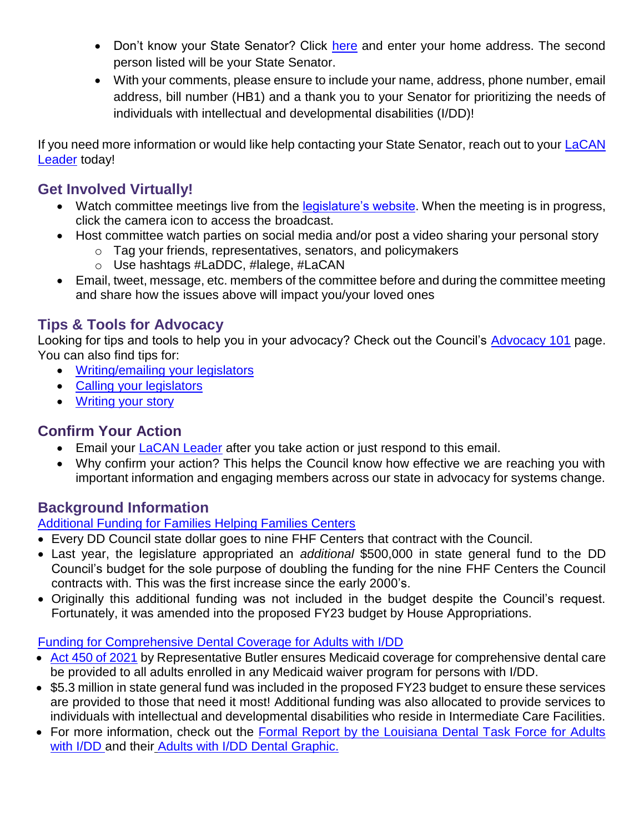- Don't know your State Senator? Click [here](https://www.legis.la.gov/legis/FindMyLegislators.aspx) and enter your home address. The second person listed will be your State Senator.
- With your comments, please ensure to include your name, address, phone number, email address, bill number (HB1) and a thank you to your Senator for prioritizing the needs of individuals with intellectual and developmental disabilities (I/DD)!

If you need more information or would like help contacting your State Senator, reach out to your LaCAN [Leader](https://laddc.org/initiatives/community-living-and-self-determination/community-supports/current-initiatives/lacan/lacan-leaders/) today!

## **Get Involved Virtually!**

- Watch committee meetings live from the [legislature's website.](https://www.legis.la.gov/legis/home.aspx) When the meeting is in progress, click the camera icon to access the broadcast.
- Host committee watch parties on social media and/or post a video sharing your personal story
	- o Tag your friends, representatives, senators, and policymakers
	- o Use hashtags #LaDDC, #lalege, #LaCAN
- Email, tweet, message, etc. members of the committee before and during the committee meeting and share how the issues above will impact you/your loved ones

### **Tips & Tools for Advocacy**

Looking for tips and tools to help you in your advocacy? Check out the Council's [Advocacy 101](https://laddc.org/initiatives/community-living-and-self-determination/quality-assurance/current-initiatives/advocacy-101/) page. You can also find tips for:

- [Writing/emailing your legislators](https://laddc.org/initiatives/community-living-and-self-determination/quality-assurance/current-initiatives/advocacy-101/how-to/writeemail-your-policymaker/)
- [Calling your legislators](https://laddc.org/initiatives/community-living-and-self-determination/quality-assurance/current-initiatives/advocacy-101/how-to/call-your-policymaker/)
- [Writing your story](https://laddc.org/initiatives/community-living-and-self-determination/quality-assurance/current-initiatives/advocacy-101/how-to/write-your-story/)

# **Confirm Your Action**

- **Email your [LaCAN Leader](https://laddc.org/initiatives/community-living-and-self-determination/community-supports/current-initiatives/lacan/lacan-leaders/) after you take action or just respond to this email.**
- Why confirm your action? This helps the Council know how effective we are reaching you with important information and engaging members across our state in advocacy for systems change.

# **Background Information**

#### [Additional Funding for Families Helping Families Centers](https://laddc.org/wp-content/uploads/2022/03/FHF-Fact-Sheet-3.18.22-1.pdf)

- Every DD Council state dollar goes to nine FHF Centers that contract with the Council.
- Last year, the legislature appropriated an *additional* \$500,000 in state general fund to the DD Council's budget for the sole purpose of doubling the funding for the nine FHF Centers the Council contracts with. This was the first increase since the early 2000's.
- Originally this additional funding was not included in the budget despite the Council's request. Fortunately, it was amended into the proposed FY23 budget by House Appropriations.

#### [Funding for Comprehensive Dental Coverage for Adults with I/DD](https://laddc.org/wp-content/uploads/2021/12/Dental-Funding-Fact-Sheet-12.17.21.pdf)

- [Act 450 of 2021](https://www.legis.la.gov/legis/ViewDocument.aspx?d=1236011) by Representative Butler ensures Medicaid coverage for comprehensive dental care be provided to all adults enrolled in any Medicaid waiver program for persons with I/DD.
- \$5.3 million in state general fund was included in the proposed FY23 budget to ensure these services are provided to those that need it most! Additional funding was also allocated to provide services to individuals with intellectual and developmental disabilities who reside in Intermediate Care Facilities.
- For more information, check out the [Formal Report by the Louisiana Dental Task Force for Adults](https://laddc.org/wp-content/uploads/2021/02/Formal-Report-of-the-LA-SAC-Dental-Task-Force-1.pdf)  [with I/DD](https://laddc.org/wp-content/uploads/2021/02/Formal-Report-of-the-LA-SAC-Dental-Task-Force-1.pdf) and their [Adults with I/DD Dental Graphic.](https://laddc.org/wp-content/uploads/2021/04/Adults-with-I-DD-Dental-Infographic-8-x-11.pdf)